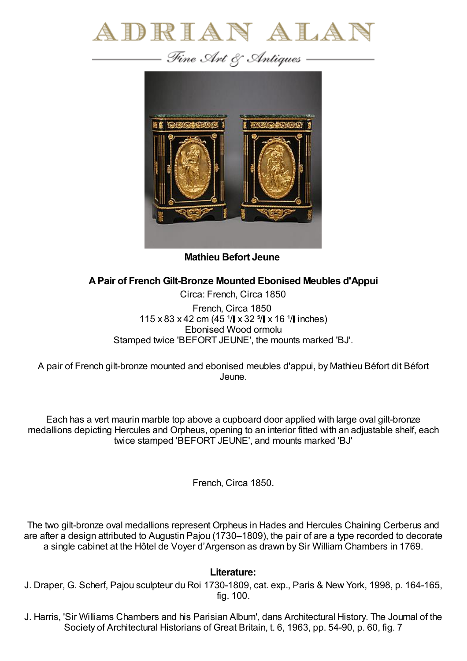



**Mathieu Befort Jeune**

## **APair of French Gilt-Bronze Mounted Ebonised Meubles d'Appui**

Circa: French, Circa 1850 French, Circa 1850 115 x 83 x 42 cm (45  $1/$  x 32  $5/$  x 16  $1/$  inches) Ebonised Wood ormolu Stamped twice 'BEFORT JEUNE', the mounts marked 'BJ'.

A pair of French gilt-bronze mounted and ebonised meubles d'appui, by Mathieu Béfort dit Béfort Jeune.

Each has a vert maurin marble top above a cupboard door applied with large oval gilt-bronze medallions depicting Hercules and Orpheus, opening to an interior fitted with an adjustable shelf, each twice stamped 'BEFORT JEUNE', and mounts marked 'BJ'

French, Circa 1850.

The two gilt-bronze oval medallions represent Orpheus in Hades and Hercules Chaining Cerberus and are after a design attributed to Augustin Pajou (1730–1809), the pair of are a type recorded to decorate a single cabinet at the Hôtel de Voyer d'Argenson as drawn by Sir William Chambers in 1769.

## **Literature:**

J. Draper, G. Scherf, Pajou sculpteur du Roi 1730-1809, cat. exp., Paris & New York, 1998, p. 164-165, fig. 100.

J. Harris, 'Sir Williams Chambers and his Parisian Album', dans Architectural History. The Journal of the Society of Architectural Historians of Great Britain, t. 6, 1963, pp. 54-90, p. 60, fig. 7